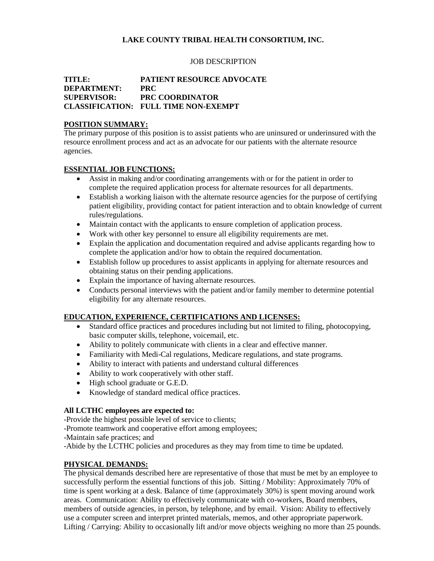# **LAKE COUNTY TRIBAL HEALTH CONSORTIUM, INC.**

#### JOB DESCRIPTION

## **TITLE: PATIENT RESOURCE ADVOCATE DEPARTMENT: PRC SUPERVISOR: PRC COORDINATOR CLASSIFICATION: FULL TIME NON-EXEMPT**

### **POSITION SUMMARY:**

The primary purpose of this position is to assist patients who are uninsured or underinsured with the resource enrollment process and act as an advocate for our patients with the alternate resource agencies.

## **ESSENTIAL JOB FUNCTIONS:**

- Assist in making and/or coordinating arrangements with or for the patient in order to complete the required application process for alternate resources for all departments.
- Establish a working liaison with the alternate resource agencies for the purpose of certifying patient eligibility, providing contact for patient interaction and to obtain knowledge of current rules/regulations.
- Maintain contact with the applicants to ensure completion of application process.
- Work with other key personnel to ensure all eligibility requirements are met.
- Explain the application and documentation required and advise applicants regarding how to complete the application and/or how to obtain the required documentation.
- Establish follow up procedures to assist applicants in applying for alternate resources and obtaining status on their pending applications.
- Explain the importance of having alternate resources.
- Conducts personal interviews with the patient and/or family member to determine potential eligibility for any alternate resources.

## **EDUCATION, EXPERIENCE, CERTIFICATIONS AND LICENSES:**

- Standard office practices and procedures including but not limited to filing, photocopying, basic computer skills, telephone, voicemail, etc.
- Ability to politely communicate with clients in a clear and effective manner.
- Familiarity with Medi-Cal regulations, Medicare regulations, and state programs.
- Ability to interact with patients and understand cultural differences
- Ability to work cooperatively with other staff.
- High school graduate or G.E.D.
- Knowledge of standard medical office practices.

#### **All LCTHC employees are expected to:**

-Provide the highest possible level of service to clients;

-Promote teamwork and cooperative effort among employees;

-Maintain safe practices; and

-Abide by the LCTHC policies and procedures as they may from time to time be updated.

## **PHYSICAL DEMANDS:**

The physical demands described here are representative of those that must be met by an employee to successfully perform the essential functions of this job. Sitting / Mobility: Approximately 70% of time is spent working at a desk. Balance of time (approximately 30%) is spent moving around work areas. Communication: Ability to effectively communicate with co-workers, Board members, members of outside agencies, in person, by telephone, and by email. Vision: Ability to effectively use a computer screen and interpret printed materials, memos, and other appropriate paperwork. Lifting / Carrying: Ability to occasionally lift and/or move objects weighing no more than 25 pounds.